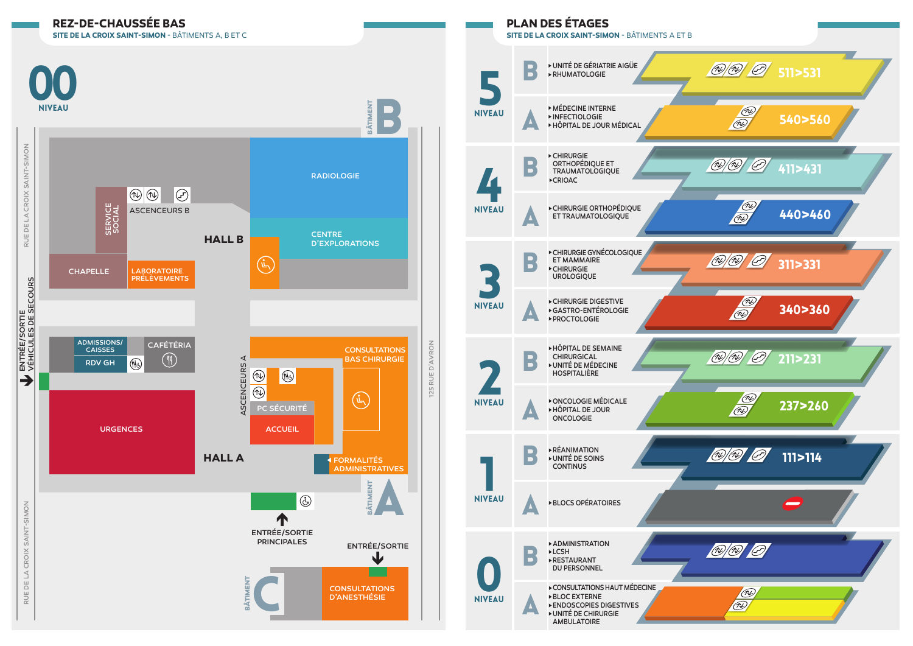



**SITE DE LA CROIX SAINT-SIMON** - BÂTIMENTS A ET B

**PLAN DES ÉTAGES**